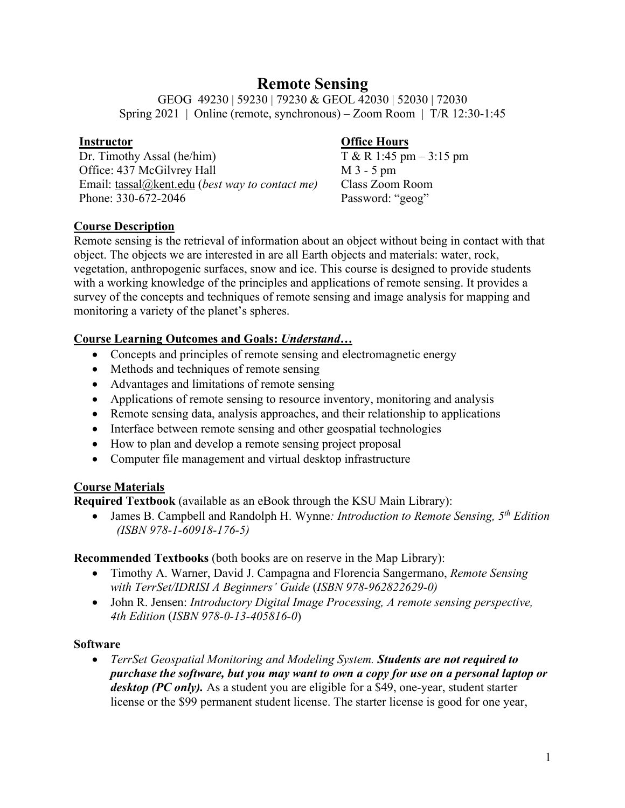# **Remote Sensing**

GEOG 49230 | 59230 | 79230 & GEOL 42030 | 52030 | 72030 Spring 2021 | Online (remote, synchronous) – Zoom Room | T/R 12:30-1:45

### **Instructor**

Dr. Timothy Assal (he/him) Office: 437 McGilvrey Hall Email: tassal@kent.edu (*best way to contact me)* Phone: 330-672-2046

# **Office Hours**

T & R 1:45 pm – 3:15 pm M 3 - 5 pm Class Zoom Room Password: "geog"

### **Course Description**

Remote sensing is the retrieval of information about an object without being in contact with that object. The objects we are interested in are all Earth objects and materials: water, rock, vegetation, anthropogenic surfaces, snow and ice. This course is designed to provide students with a working knowledge of the principles and applications of remote sensing. It provides a survey of the concepts and techniques of remote sensing and image analysis for mapping and monitoring a variety of the planet's spheres.

# **Course Learning Outcomes and Goals:** *Understand…*

- Concepts and principles of remote sensing and electromagnetic energy
- Methods and techniques of remote sensing
- Advantages and limitations of remote sensing
- Applications of remote sensing to resource inventory, monitoring and analysis
- Remote sensing data, analysis approaches, and their relationship to applications
- Interface between remote sensing and other geospatial technologies
- How to plan and develop a remote sensing project proposal
- Computer file management and virtual desktop infrastructure

# **Course Materials**

**Required Textbook** (available as an eBook through the KSU Main Library):

• James B. Campbell and Randolph H. Wynne*: Introduction to Remote Sensing, 5th Edition (ISBN 978-1-60918-176-5)*

# **Recommended Textbooks** (both books are on reserve in the Map Library):

- Timothy A. Warner, David J. Campagna and Florencia Sangermano, *Remote Sensing with TerrSet/IDRISI A Beginners' Guide* (*ISBN 978-962822629-0)*
- John R. Jensen: *Introductory Digital Image Processing, A remote sensing perspective, 4th Edition* (*ISBN 978-0-13-405816-0*)

### **Software**

• *TerrSet Geospatial Monitoring and Modeling System. Students are not required to purchase the software, but you may want to own a copy for use on a personal laptop or desktop (PC only).* As a student you are eligible for a \$49, one‐year, student starter license or the \$99 permanent student license. The starter license is good for one year,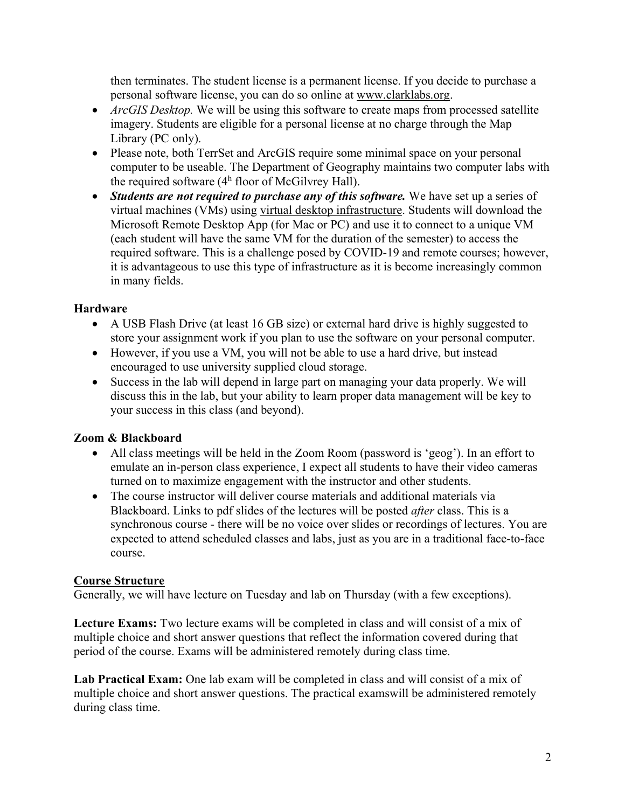then terminates. The student license is a permanent license. If you decide to purchase a personal software license, you can do so online at www.clarklabs.org.

- *ArcGIS Desktop.* We will be using this software to create maps from processed satellite imagery. Students are eligible for a personal license at no charge through the Map Library (PC only).
- Please note, both TerrSet and ArcGIS require some minimal space on your personal computer to be useable. The Department of Geography maintains two computer labs with the required software  $(4<sup>h</sup>$  floor of McGilvrey Hall).
- *Students are not required to purchase any of this software.* We have set up a series of virtual machines (VMs) using virtual desktop infrastructure. Students will download the Microsoft Remote Desktop App (for Mac or PC) and use it to connect to a unique VM (each student will have the same VM for the duration of the semester) to access the required software. This is a challenge posed by COVID-19 and remote courses; however, it is advantageous to use this type of infrastructure as it is become increasingly common in many fields.

# **Hardware**

- A USB Flash Drive (at least 16 GB size) or external hard drive is highly suggested to store your assignment work if you plan to use the software on your personal computer.
- However, if you use a VM, you will not be able to use a hard drive, but instead encouraged to use university supplied cloud storage.
- Success in the lab will depend in large part on managing your data properly. We will discuss this in the lab, but your ability to learn proper data management will be key to your success in this class (and beyond).

# **Zoom & Blackboard**

- All class meetings will be held in the Zoom Room (password is 'geog'). In an effort to emulate an in-person class experience, I expect all students to have their video cameras turned on to maximize engagement with the instructor and other students.
- The course instructor will deliver course materials and additional materials via Blackboard. Links to pdf slides of the lectures will be posted *after* class. This is a synchronous course - there will be no voice over slides or recordings of lectures. You are expected to attend scheduled classes and labs, just as you are in a traditional face-to-face course.

# **Course Structure**

Generally, we will have lecture on Tuesday and lab on Thursday (with a few exceptions).

**Lecture Exams:** Two lecture exams will be completed in class and will consist of a mix of multiple choice and short answer questions that reflect the information covered during that period of the course. Exams will be administered remotely during class time.

**Lab Practical Exam:** One lab exam will be completed in class and will consist of a mix of multiple choice and short answer questions. The practical examswill be administered remotely during class time.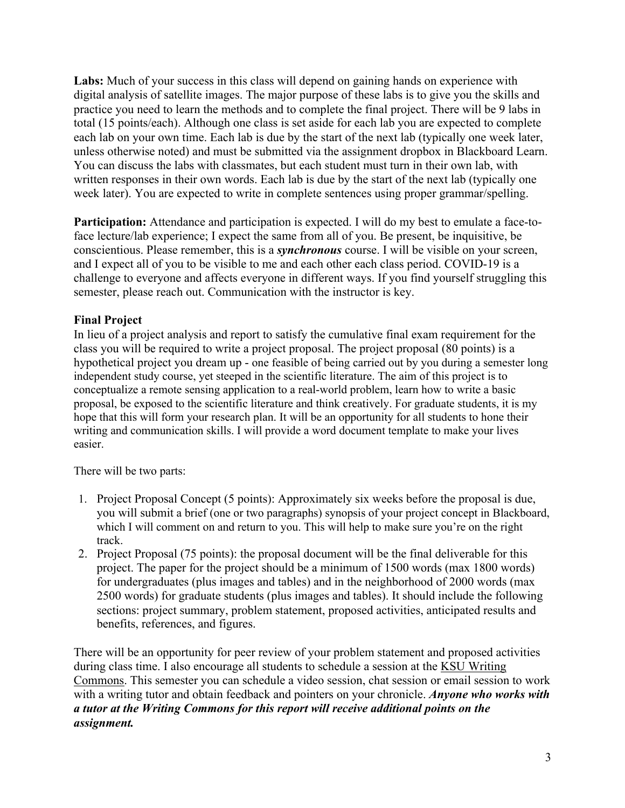**Labs:** Much of your success in this class will depend on gaining hands on experience with digital analysis of satellite images. The major purpose of these labs is to give you the skills and practice you need to learn the methods and to complete the final project. There will be 9 labs in total (15 points/each). Although one class is set aside for each lab you are expected to complete each lab on your own time. Each lab is due by the start of the next lab (typically one week later, unless otherwise noted) and must be submitted via the assignment dropbox in Blackboard Learn. You can discuss the labs with classmates, but each student must turn in their own lab, with written responses in their own words. Each lab is due by the start of the next lab (typically one week later). You are expected to write in complete sentences using proper grammar/spelling.

**Participation:** Attendance and participation is expected. I will do my best to emulate a face-toface lecture/lab experience; I expect the same from all of you. Be present, be inquisitive, be conscientious. Please remember, this is a *synchronous* course. I will be visible on your screen, and I expect all of you to be visible to me and each other each class period. COVID-19 is a challenge to everyone and affects everyone in different ways. If you find yourself struggling this semester, please reach out. Communication with the instructor is key.

### **Final Project**

In lieu of a project analysis and report to satisfy the cumulative final exam requirement for the class you will be required to write a project proposal. The project proposal (80 points) is a hypothetical project you dream up - one feasible of being carried out by you during a semester long independent study course, yet steeped in the scientific literature. The aim of this project is to conceptualize a remote sensing application to a real-world problem, learn how to write a basic proposal, be exposed to the scientific literature and think creatively. For graduate students, it is my hope that this will form your research plan. It will be an opportunity for all students to hone their writing and communication skills. I will provide a word document template to make your lives easier.

There will be two parts:

- 1. Project Proposal Concept (5 points): Approximately six weeks before the proposal is due, you will submit a brief (one or two paragraphs) synopsis of your project concept in Blackboard, which I will comment on and return to you. This will help to make sure you're on the right track.
- 2. Project Proposal (75 points): the proposal document will be the final deliverable for this project. The paper for the project should be a minimum of 1500 words (max 1800 words) for undergraduates (plus images and tables) and in the neighborhood of 2000 words (max 2500 words) for graduate students (plus images and tables). It should include the following sections: project summary, problem statement, proposed activities, anticipated results and benefits, references, and figures.

There will be an opportunity for peer review of your problem statement and proposed activities during class time. I also encourage all students to schedule a session at the KSU Writing Commons. This semester you can schedule a video session, chat session or email session to work with a writing tutor and obtain feedback and pointers on your chronicle. *Anyone who works with a tutor at the Writing Commons for this report will receive additional points on the assignment.*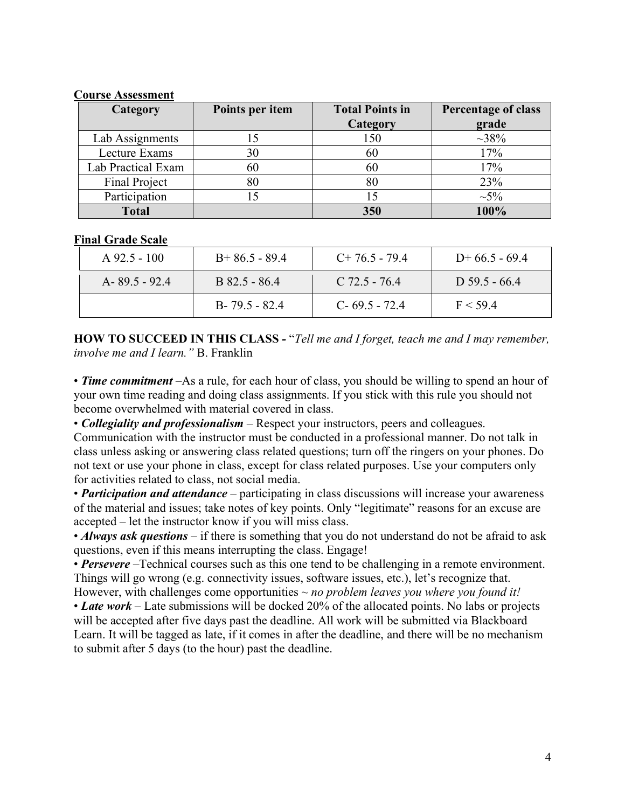### **Course Assessment**

| Category           | Points per item | <b>Total Points in</b> | Percentage of class |
|--------------------|-----------------|------------------------|---------------------|
|                    |                 | Category               | grade               |
| Lab Assignments    |                 | 150                    | $~1.38\%$           |
| Lecture Exams      | 30<br>60<br>80  | 60<br>60<br>80         | 17%<br>17%<br>23%   |
| Lab Practical Exam |                 |                        |                     |
| Final Project      |                 |                        |                     |
| Participation      |                 | 15                     | $\sim 5\%$          |
| <b>Total</b>       |                 | 350                    | 100%                |

#### **Final Grade Scale**

| $A\,92.5 - 100$   | $B+86.5-89.4$     | $C+76.5-79.4$     | $D+66.5-69.4$   |
|-------------------|-------------------|-------------------|-----------------|
| $A - 89.5 - 92.4$ | B 82.5 - 86.4     | $C$ 72.5 - 76.4   | $D$ 59.5 - 66.4 |
|                   | $B - 79.5 - 82.4$ | $C - 69.5 - 72.4$ | F < 59.4        |

**HOW TO SUCCEED IN THIS CLASS** *-* "*Tell me and I forget, teach me and I may remember, involve me and I learn."* B. Franklin

• *Time commitment* –As a rule, for each hour of class, you should be willing to spend an hour of your own time reading and doing class assignments. If you stick with this rule you should not become overwhelmed with material covered in class.

• *Collegiality and professionalism* – Respect your instructors, peers and colleagues.

Communication with the instructor must be conducted in a professional manner. Do not talk in class unless asking or answering class related questions; turn off the ringers on your phones. Do not text or use your phone in class, except for class related purposes. Use your computers only for activities related to class, not social media.

• *Participation and attendance* – participating in class discussions will increase your awareness of the material and issues; take notes of key points. Only "legitimate" reasons for an excuse are accepted – let the instructor know if you will miss class.

• *Always ask questions* – if there is something that you do not understand do not be afraid to ask questions, even if this means interrupting the class. Engage!

• **Persevere** –Technical courses such as this one tend to be challenging in a remote environment. Things will go wrong (e.g. connectivity issues, software issues, etc.), let's recognize that.

However, with challenges come opportunities *~ no problem leaves you where you found it!* • *Late work* – Late submissions will be docked 20% of the allocated points. No labs or projects will be accepted after five days past the deadline. All work will be submitted via Blackboard

Learn. It will be tagged as late, if it comes in after the deadline, and there will be no mechanism to submit after 5 days (to the hour) past the deadline.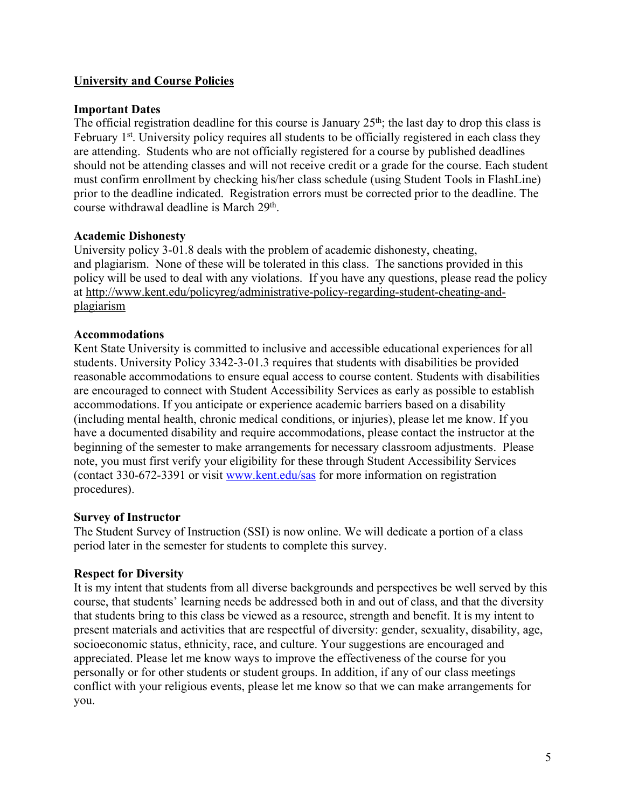### **University and Course Policies**

### **Important Dates**

The official registration deadline for this course is January  $25<sup>th</sup>$ ; the last day to drop this class is February 1<sup>st</sup>. University policy requires all students to be officially registered in each class they are attending. Students who are not officially registered for a course by published deadlines should not be attending classes and will not receive credit or a grade for the course. Each student must confirm enrollment by checking his/her class schedule (using Student Tools in FlashLine) prior to the deadline indicated. Registration errors must be corrected prior to the deadline. The course withdrawal deadline is March 29<sup>th</sup>.

#### **Academic Dishonesty**

University policy 3-01.8 deals with the problem of academic dishonesty, cheating, and plagiarism. None of these will be tolerated in this class. The sanctions provided in this policy will be used to deal with any violations. If you have any questions, please read the policy at http://www.kent.edu/policyreg/administrative-policy-regarding-student-cheating-andplagiarism

#### **Accommodations**

Kent State University is committed to inclusive and accessible educational experiences for all students. University Policy 3342-3-01.3 requires that students with disabilities be provided reasonable accommodations to ensure equal access to course content. Students with disabilities are encouraged to connect with Student Accessibility Services as early as possible to establish accommodations. If you anticipate or experience academic barriers based on a disability (including mental health, chronic medical conditions, or injuries), please let me know. If you have a documented disability and require accommodations, please contact the instructor at the beginning of the semester to make arrangements for necessary classroom adjustments. Please note, you must first verify your eligibility for these through Student Accessibility Services (contact 330-672-3391 or visit www.kent.edu/sas for more information on registration procedures).

#### **Survey of Instructor**

The Student Survey of Instruction (SSI) is now online. We will dedicate a portion of a class period later in the semester for students to complete this survey.

#### **Respect for Diversity**

It is my intent that students from all diverse backgrounds and perspectives be well served by this course, that students' learning needs be addressed both in and out of class, and that the diversity that students bring to this class be viewed as a resource, strength and benefit. It is my intent to present materials and activities that are respectful of diversity: gender, sexuality, disability, age, socioeconomic status, ethnicity, race, and culture. Your suggestions are encouraged and appreciated. Please let me know ways to improve the effectiveness of the course for you personally or for other students or student groups. In addition, if any of our class meetings conflict with your religious events, please let me know so that we can make arrangements for you.